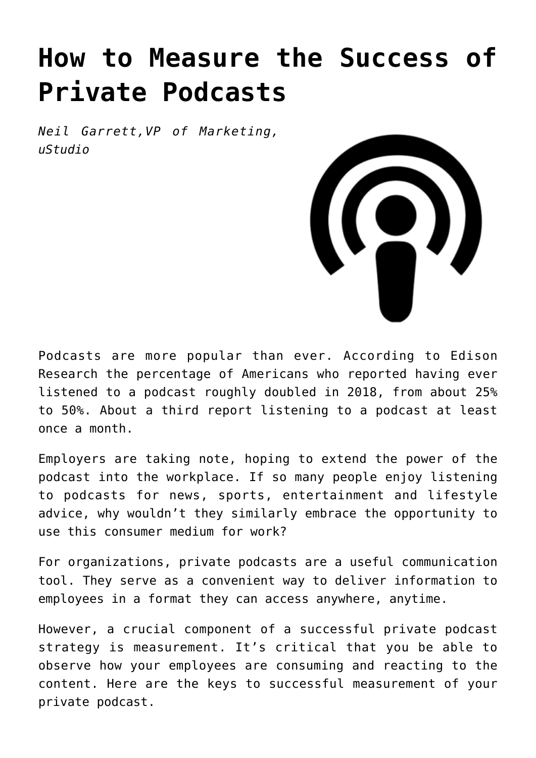# **[How to Measure the Success of](https://www.commpro.biz/how-to-measure-the-success-of-private-podcasts/) [Private Podcasts](https://www.commpro.biz/how-to-measure-the-success-of-private-podcasts/)**

*Neil Garrett,VP of Marketing, [uStudio](https://www.ustudio.com)*



Podcasts are more popular than ever. According to [Edison](https://www.edisonresearch.com/infinite-dial-2019/) [Research](https://www.edisonresearch.com/infinite-dial-2019/) the percentage of Americans who reported having ever listened to a podcast roughly doubled in 2018, from about 25% to 50%. About a third report listening to a podcast at least once a month.

Employers are taking note, hoping to extend the power of the podcast into the workplace. If so many people enjoy listening to podcasts for news, sports, entertainment and lifestyle advice, why wouldn't they similarly embrace the opportunity to use this consumer medium for work?

For organizations, private podcasts are a useful communication tool. They serve as a convenient way to deliver information to employees in a format they can access anywhere, anytime.

However, a crucial component of a successful private podcast strategy is measurement. It's critical that you be able to observe how your employees are consuming and reacting to the content. Here are the keys to successful measurement of your private podcast.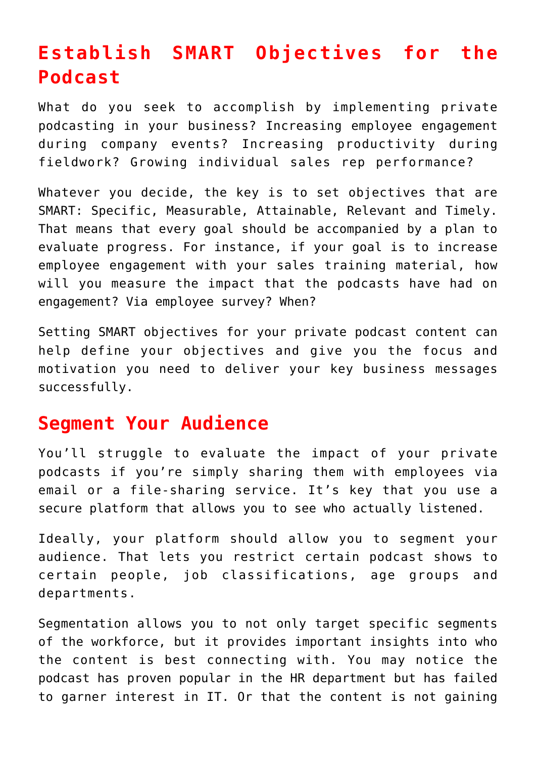## **Establish SMART Objectives for the Podcast**

What do you seek to accomplish by implementing private podcasting in your business? Increasing employee engagement during company events? Increasing productivity during fieldwork? Growing individual sales rep performance?

Whatever you decide, the key is to set objectives that are SMART: Specific, Measurable, Attainable, Relevant and Timely. That means that every goal should be accompanied by a plan to evaluate progress. For instance, if your goal is to increase employee engagement with your sales training material, how will you measure the impact that the podcasts have had on engagement? Via employee survey? When?

Setting SMART objectives for your private podcast content can help define your objectives and give you the focus and motivation you need to deliver your key business messages successfully.

#### **Segment Your Audience**

You'll struggle to evaluate the impact of your private podcasts if you're simply sharing them with employees via email or a file-sharing service. It's key that you use a secure platform that [allows you to see who actually listened](https://ustudio.com/platform/podcast-analytics/).

Ideally, your platform should allow you to segment your audience. That lets you restrict certain podcast shows to certain people, job classifications, age groups and departments.

Segmentation allows you to not only target specific segments of the workforce, but it provides important insights into who the content is best connecting with. You may notice the podcast has proven popular in the HR department but has failed to garner interest in IT. Or that the content is not gaining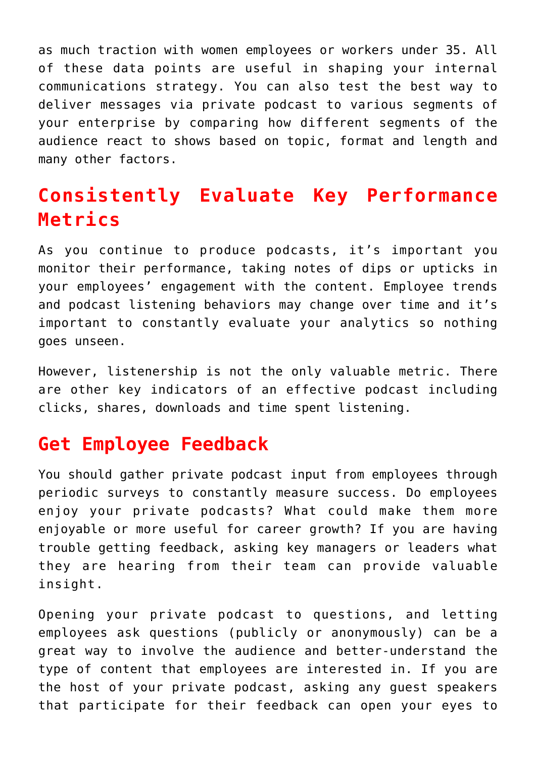as much traction with women employees or workers under 35. All of these data points are useful in shaping your internal communications strategy. You can also test the best way to deliver messages via private podcast to various segments of your enterprise by comparing how different segments of the audience react to shows based on topic, format and length and many other factors.

### **Consistently Evaluate Key Performance Metrics**

As you continue to produce podcasts, it's important you monitor their performance, taking notes of dips or upticks in your employees' engagement with the content. Employee trends and podcast listening behaviors may change over time and it's important to constantly evaluate your analytics so nothing goes unseen.

However, listenership is not the only valuable metric. There are other key indicators of an effective podcast including clicks, shares, downloads and time spent listening.

#### **Get Employee Feedback**

You should gather private podcast input from employees through periodic surveys to constantly measure success. Do employees enjoy your private podcasts? What could make them more enjoyable or more useful for career growth? If you are having trouble getting feedback, asking key managers or leaders what they are hearing from their team can provide valuable insight.

Opening your private podcast to questions, and letting employees ask questions (publicly or anonymously) can be a great way to involve the audience and better-understand the type of content that employees are interested in. If you are the host of your private podcast, asking any guest speakers that participate for their feedback can open your eyes to